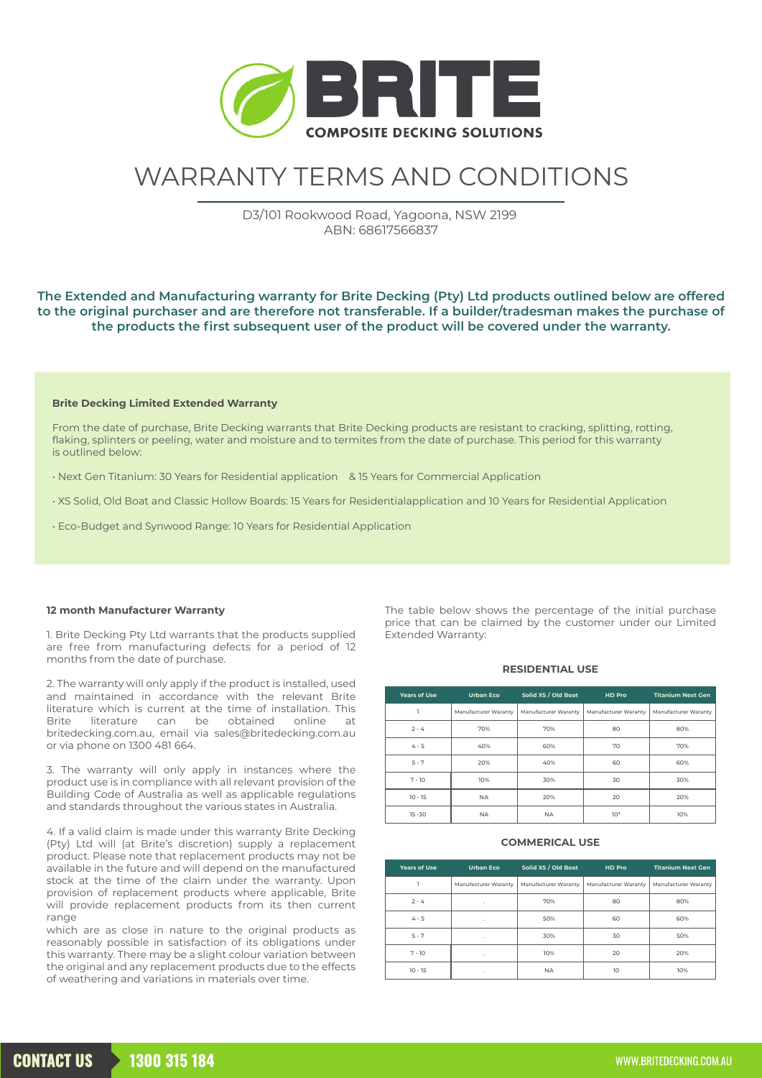

# WARRANTY TERMS AND CONDITIONS

D3/101 Rookwood Road, Yagoona, NSW 2199 ABN: 68617566837

# **The Extended and Manufacturing warranty for Brite Decking (Pty) Ltd products outlined below are offered to the original purchaser and are therefore not transferable. If a builder/tradesman makes the purchase of the products the first subsequent user of the product will be covered under the warranty.**

## **Brite Decking Limited Extended Warranty**

From the date of purchase, Brite Decking warrants that Brite Decking products are resistant to cracking, splitting, rotting, flaking, splinters or peeling, water and moisture and to termites from the date of purchase. This period for this warranty is outlined below:

- Next Gen Titanium: 30 Years for Residential application & 15 Years for Commercial Application
- XS Solid, Old Boat and Classic Hollow Boards: 15 Years for Residentialapplication and 10 Years for Residential Application
- Eco-Budget and Synwood Range: 10 Years for Residential Application

## **12 month Manufacturer Warranty**

1. Brite Decking Pty Ltd warrants that the products supplied are free from manufacturing defects for a period of 12 months from the date of purchase.

2. The warranty will only apply if the product is installed, used and maintained in accordance with the relevant Brite literature which is current at the time of installation. This Brite literature can be obtained online at britedecking.com.au, email via sales@britedecking.com.au or via phone on 1300 481 664.

3. The warranty will only apply in instances where the product use is in compliance with all relevant provision of the Building Code of Australia as well as applicable regulations and standards throughout the various states in Australia.

4. If a valid claim is made under this warranty Brite Decking (Pty) Ltd will (at Brite's discretion) supply a replacement product. Please note that replacement products may not be available in the future and will depend on the manufactured stock at the time of the claim under the warranty. Upon provision of replacement products where applicable, Brite will provide replacement products from its then current range

which are as close in nature to the original products as reasonably possible in satisfaction of its obligations under this warranty. There may be a slight colour variation between the original and any replacement products due to the effects of weathering and variations in materials over time.

The table below shows the percentage of the initial purchase price that can be claimed by the customer under our Limited Extended Warranty:

#### **RESIDENTIAL USE**

| <b>Years of Use</b> | <b>Urban Eco</b>     | Solid XS / Old Boat  | HD Pro               | <b>Titanium Next Gen</b> |
|---------------------|----------------------|----------------------|----------------------|--------------------------|
|                     | Manufacturer Waranty | Manufacturer Waranty | Manufacturer Waranty | Manufacturer Waranty     |
| $2 - 4$             | 70%                  | 70%                  | 80                   | 80%                      |
| $4 - 5$             | 40%                  | 60%                  | 70                   | 70%                      |
| $5 - 7$             | 20%                  | 40%                  | 60                   | 60%                      |
| $7 - 10$            | 10%                  | 30%                  | 30                   | 30%                      |
| $10 - 15$           | <b>NA</b>            | 20%                  | 20                   | 20%                      |
| $15 - 30$           | <b>NA</b>            | <b>NA</b>            | $10*$                | 10%                      |

#### **COMMERICAL USE**

| <b>Years of Use</b> | <b>Urban Eco</b>     | Solid XS / Old Boat  | HD Pro               | <b>Titanium Next Gen</b> |
|---------------------|----------------------|----------------------|----------------------|--------------------------|
|                     | Manufacturer Waranty | Manufacturer Waranty | Manufacturer Waranty | Manufacturer Waranty     |
| $2 - 4$             | ٠                    | 70%                  | 80                   | 80%                      |
| $4 - 5$             | ٠                    | 50%                  | 60                   | 60%                      |
| $5 - 7$             |                      | 30%                  | 30                   | 50%                      |
| $7 - 10$            | ٠                    | 10%                  | 20                   | 20%                      |
| $10 - 15$           | ×.                   | <b>NA</b>            | 10                   | 10%                      |